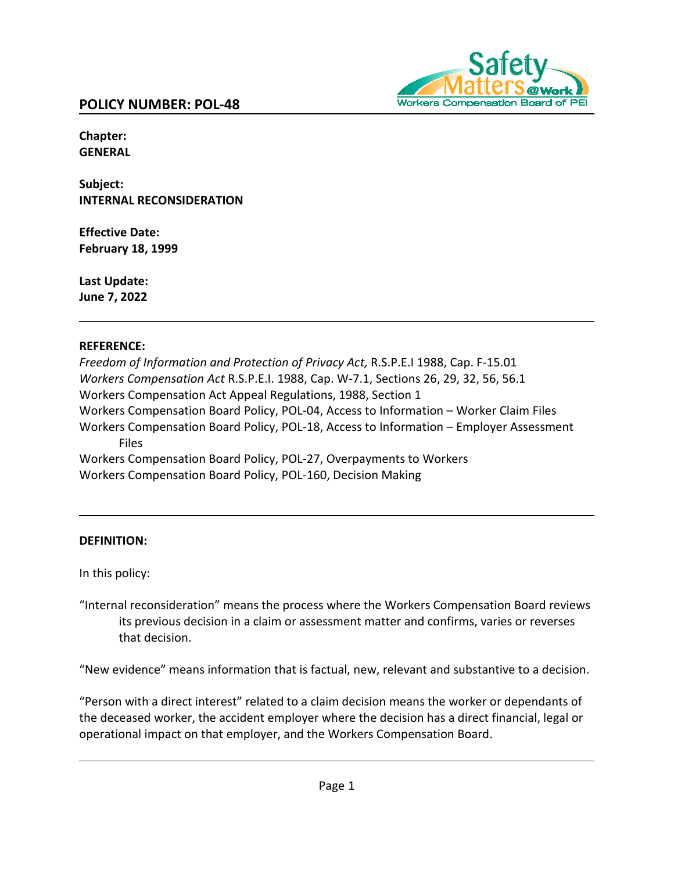

**Chapter: GENERAL**

**Subject: INTERNAL RECONSIDERATION**

**Effective Date: February 18, 1999**

**Last Update: June 7, 2022**

### **REFERENCE:**

*Freedom of Information and Protection of Privacy Act,* R.S.P.E.I 1988, Cap. F‐15.01 *Workers Compensation Act* R.S.P.E.I. 1988, Cap. W-7.1, Sections 26, 29, 32, 56, 56.1 Workers Compensation Act Appeal Regulations, 1988, Section 1 Workers Compensation Board Policy, POL-04, Access to Information – Worker Claim Files Workers Compensation Board Policy, POL-18, Access to Information – Employer Assessment Files Workers Compensation Board Policy, POL-27, Overpayments to Workers Workers Compensation Board Policy, POL-160, Decision Making

## **DEFINITION:**

In this policy:

"Internal reconsideration" means the process where the Workers Compensation Board reviews its previous decision in a claim or assessment matter and confirms, varies or reverses that decision.

"New evidence" means information that is factual, new, relevant and substantive to a decision.

"Person with a direct interest" related to a claim decision means the worker or dependants of the deceased worker, the accident employer where the decision has a direct financial, legal or operational impact on that employer, and the Workers Compensation Board.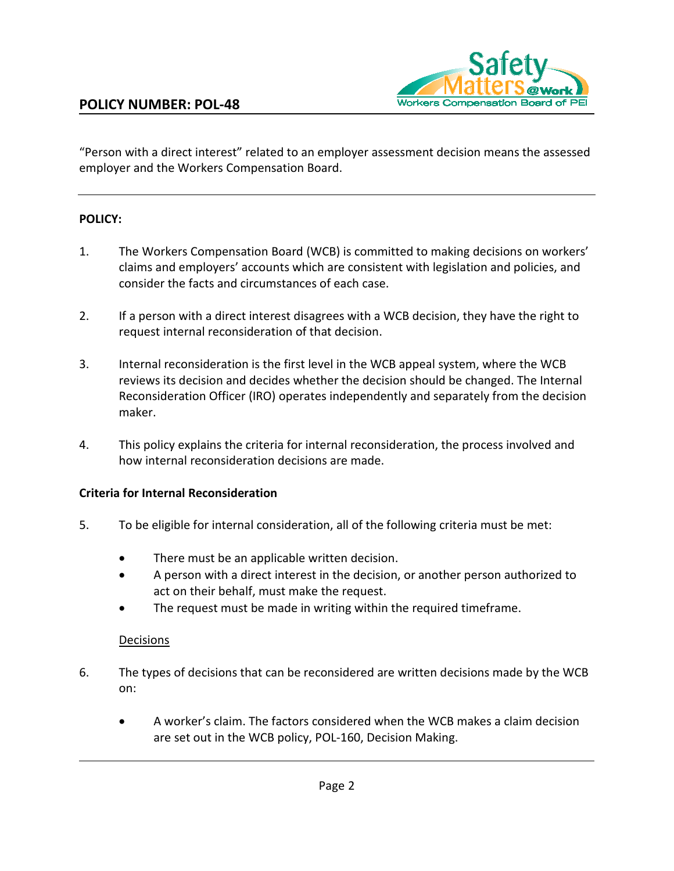

"Person with a direct interest" related to an employer assessment decision means the assessed employer and the Workers Compensation Board.

### **POLICY:**

- 1. The Workers Compensation Board (WCB) is committed to making decisions on workers' claims and employers' accounts which are consistent with legislation and policies, and consider the facts and circumstances of each case.
- 2. If a person with a direct interest disagrees with a WCB decision, they have the right to request internal reconsideration of that decision.
- 3. Internal reconsideration is the first level in the WCB appeal system, where the WCB reviews its decision and decides whether the decision should be changed. The Internal Reconsideration Officer (IRO) operates independently and separately from the decision maker.
- 4. This policy explains the criteria for internal reconsideration, the process involved and how internal reconsideration decisions are made.

### **Criteria for Internal Reconsideration**

- 5. To be eligible for internal consideration, all of the following criteria must be met:
	- There must be an applicable written decision.
	- A person with a direct interest in the decision, or another person authorized to act on their behalf, must make the request.
	- The request must be made in writing within the required timeframe.

### Decisions

- 6. The types of decisions that can be reconsidered are written decisions made by the WCB on:
	- A worker's claim. The factors considered when the WCB makes a claim decision are set out in the WCB policy, POL-160, Decision Making.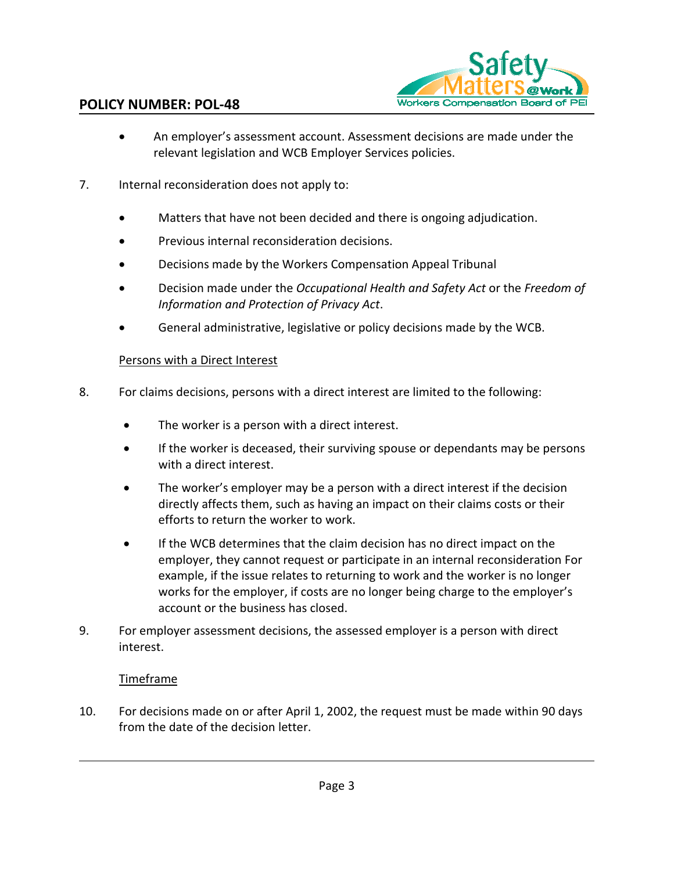

## **POLICY NUMBER: POL-48**

- An employer's assessment account. Assessment decisions are made under the relevant legislation and WCB Employer Services policies.
- 7. Internal reconsideration does not apply to:
	- Matters that have not been decided and there is ongoing adjudication.
	- Previous internal reconsideration decisions.
	- Decisions made by the Workers Compensation Appeal Tribunal
	- Decision made under the *Occupational Health and Safety Act* or the *Freedom of Information and Protection of Privacy Act*.
	- General administrative, legislative or policy decisions made by the WCB.

### Persons with a Direct Interest

- 8. For claims decisions, persons with a direct interest are limited to the following:
	- The worker is a person with a direct interest.
	- If the worker is deceased, their surviving spouse or dependants may be persons with a direct interest.
	- The worker's employer may be a person with a direct interest if the decision directly affects them, such as having an impact on their claims costs or their efforts to return the worker to work.
	- If the WCB determines that the claim decision has no direct impact on the employer, they cannot request or participate in an internal reconsideration For example, if the issue relates to returning to work and the worker is no longer works for the employer, if costs are no longer being charge to the employer's account or the business has closed.
- 9. For employer assessment decisions, the assessed employer is a person with direct interest.

### Timeframe

10. For decisions made on or after April 1, 2002, the request must be made within 90 days from the date of the decision letter.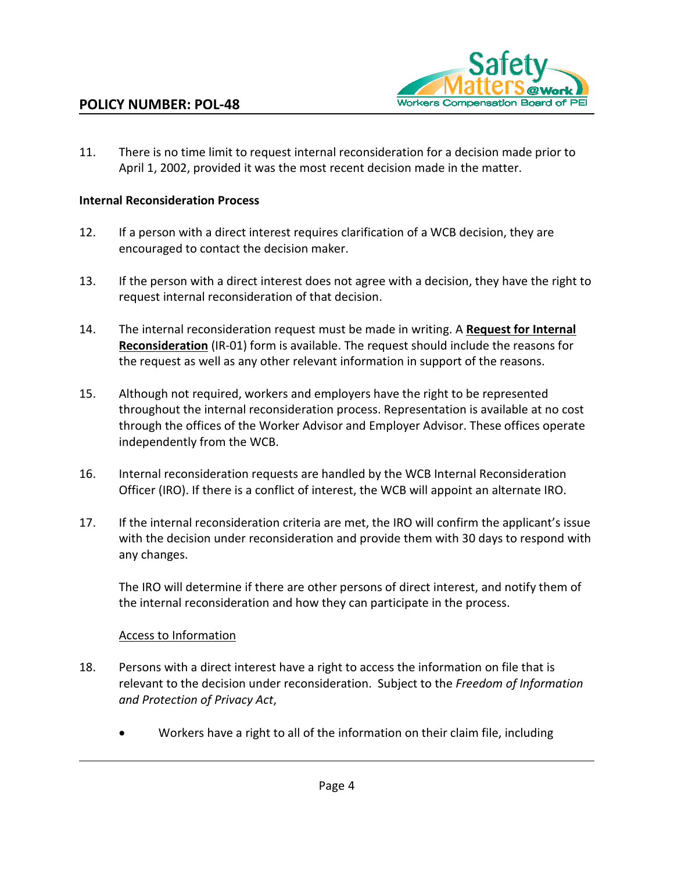

11. There is no time limit to request internal reconsideration for a decision made prior to April 1, 2002, provided it was the most recent decision made in the matter.

#### **Internal Reconsideration Process**

- 12. If a person with a direct interest requires clarification of a WCB decision, they are encouraged to contact the decision maker.
- 13. If the person with a direct interest does not agree with a decision, they have the right to request internal reconsideration of that decision.
- 14. The internal reconsideration request must be made in writing. A **Request for Internal Reconsideration** (IR-01) form is available. The request should include the reasons for the request as well as any other relevant information in support of the reasons.
- 15. Although not required, workers and employers have the right to be represented throughout the internal reconsideration process. Representation is available at no cost through the offices of the Worker Advisor and Employer Advisor. These offices operate independently from the WCB.
- 16. Internal reconsideration requests are handled by the WCB Internal Reconsideration Officer (IRO). If there is a conflict of interest, the WCB will appoint an alternate IRO.
- 17. If the internal reconsideration criteria are met, the IRO will confirm the applicant's issue with the decision under reconsideration and provide them with 30 days to respond with any changes.

The IRO will determine if there are other persons of direct interest, and notify them of the internal reconsideration and how they can participate in the process.

### Access to Information

- 18. Persons with a direct interest have a right to access the information on file that is relevant to the decision under reconsideration. Subject to the *Freedom of Information and Protection of Privacy Act*,
	- Workers have a right to all of the information on their claim file, including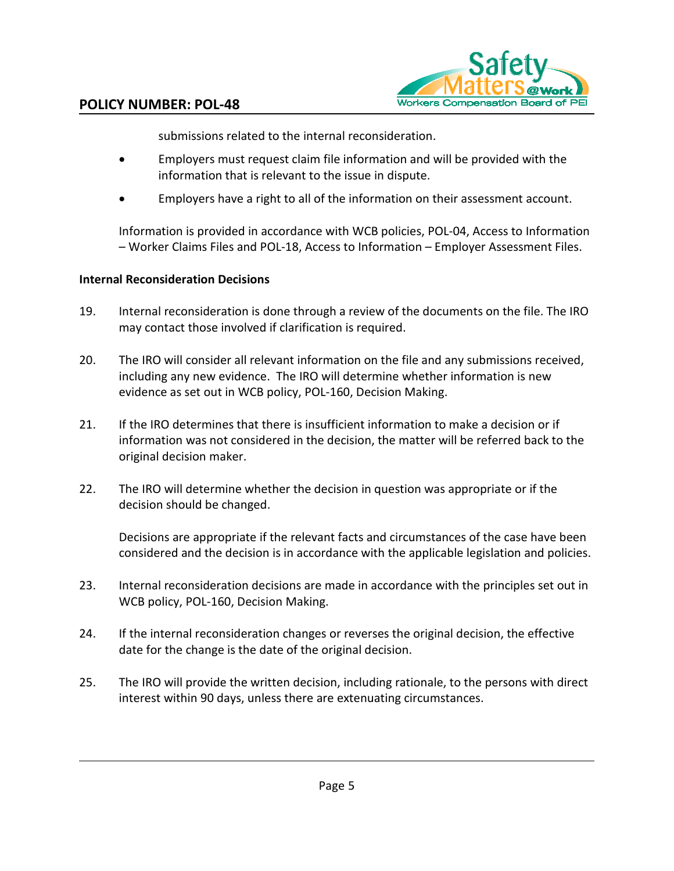

submissions related to the internal reconsideration.

- Employers must request claim file information and will be provided with the information that is relevant to the issue in dispute.
- Employers have a right to all of the information on their assessment account.

Information is provided in accordance with WCB policies, POL-04, Access to Information – Worker Claims Files and POL-18, Access to Information – Employer Assessment Files.

## **Internal Reconsideration Decisions**

- 19. Internal reconsideration is done through a review of the documents on the file. The IRO may contact those involved if clarification is required.
- 20. The IRO will consider all relevant information on the file and any submissions received, including any new evidence. The IRO will determine whether information is new evidence as set out in WCB policy, POL-160, Decision Making.
- 21. If the IRO determines that there is insufficient information to make a decision or if information was not considered in the decision, the matter will be referred back to the original decision maker.
- 22. The IRO will determine whether the decision in question was appropriate or if the decision should be changed.

Decisions are appropriate if the relevant facts and circumstances of the case have been considered and the decision is in accordance with the applicable legislation and policies.

- 23. Internal reconsideration decisions are made in accordance with the principles set out in WCB policy, POL-160, Decision Making.
- 24. If the internal reconsideration changes or reverses the original decision, the effective date for the change is the date of the original decision.
- 25. The IRO will provide the written decision, including rationale, to the persons with direct interest within 90 days, unless there are extenuating circumstances.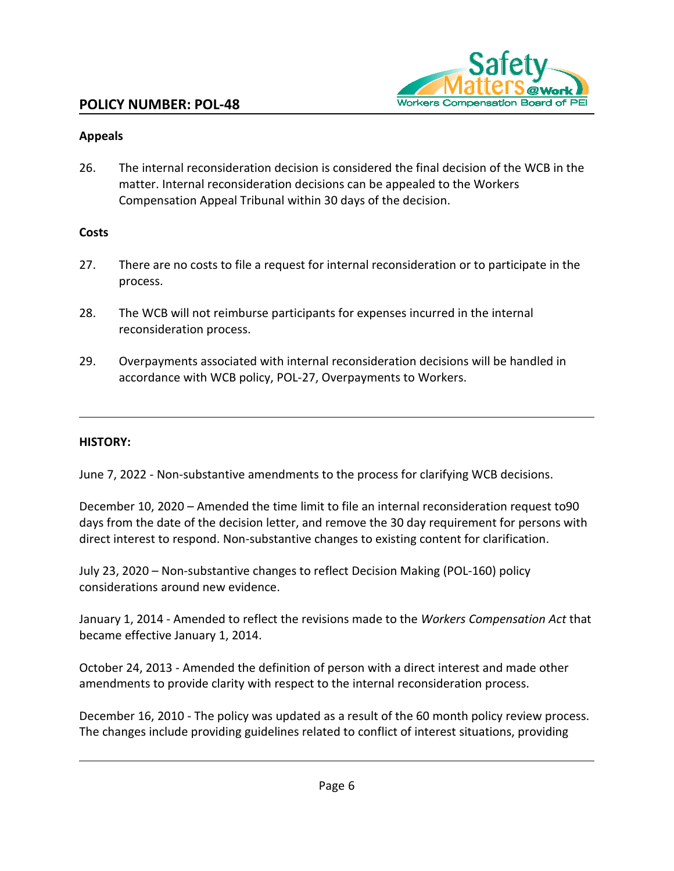

## **Appeals**

26. The internal reconsideration decision is considered the final decision of the WCB in the matter. Internal reconsideration decisions can be appealed to the Workers Compensation Appeal Tribunal within 30 days of the decision.

## **Costs**

- 27. There are no costs to file a request for internal reconsideration or to participate in the process.
- 28. The WCB will not reimburse participants for expenses incurred in the internal reconsideration process.
- 29. Overpayments associated with internal reconsideration decisions will be handled in accordance with WCB policy, POL-27, Overpayments to Workers.

## **HISTORY:**

June 7, 2022 - Non-substantive amendments to the process for clarifying WCB decisions.

December 10, 2020 – Amended the time limit to file an internal reconsideration request to90 days from the date of the decision letter, and remove the 30 day requirement for persons with direct interest to respond. Non-substantive changes to existing content for clarification.

July 23, 2020 – Non-substantive changes to reflect Decision Making (POL-160) policy considerations around new evidence.

January 1, 2014 - Amended to reflect the revisions made to the *Workers Compensation Act* that became effective January 1, 2014.

October 24, 2013 - Amended the definition of person with a direct interest and made other amendments to provide clarity with respect to the internal reconsideration process.

December 16, 2010 - The policy was updated as a result of the 60 month policy review process. The changes include providing guidelines related to conflict of interest situations, providing